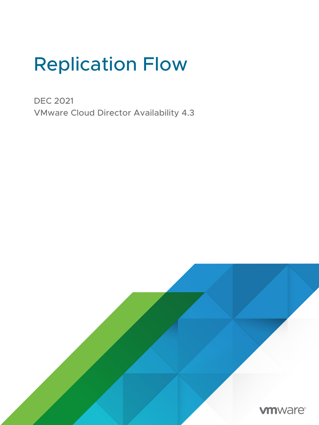## Replication Flow

DEC 2021 VMware Cloud Director Availability 4.3

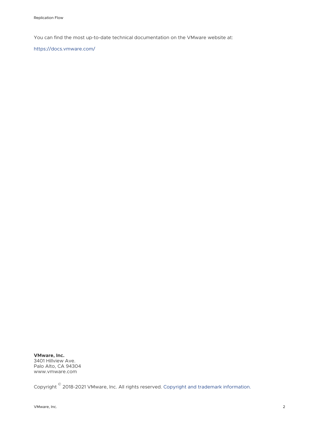You can find the most up-to-date technical documentation on the VMware website at:

<https://docs.vmware.com/>

**VMware, Inc.** 3401 Hillview Ave. Palo Alto, CA 94304 www.vmware.com

Copyright  $^\circ$  2018-2021 VMware, Inc. All rights reserved. [Copyright and trademark information.](https://docs.vmware.com/copyright-trademark.html)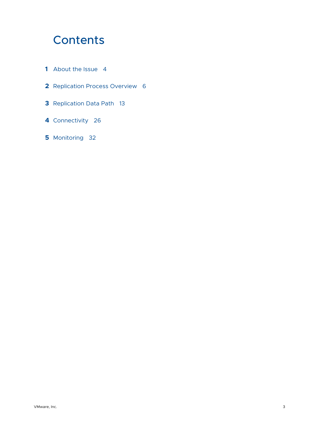## **Contents**

- [About the Issue](#page-3-0) 4
- [Replication Process Overview](#page-5-0) 6
- [Replication Data Path](#page-12-0) 13
- [Connectivity](#page-25-0) 26
- [Monitoring](#page-31-0) 32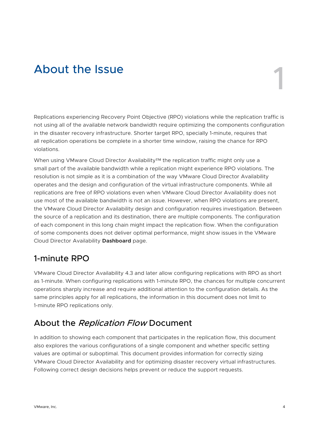# <span id="page-3-0"></span>About the Issue 1999 and 1999 and 1999 and 1999 and 1999 and 1999 and 1999 and 1999 and 1999 and 1999 and 1999



Replications experiencing Recovery Point Objective (RPO) violations while the replication traffic is not using all of the available network bandwidth require optimizing the components configuration in the disaster recovery infrastructure. Shorter target RPO, specially 1-minute, requires that all replication operations be complete in a shorter time window, raising the chance for RPO violations.

When using VMware Cloud Director Availability™ the replication traffic might only use a small part of the available bandwidth while a replication might experience RPO violations. The resolution is not simple as it is a combination of the way VMware Cloud Director Availability operates and the design and configuration of the virtual infrastructure components. While all replications are free of RPO violations even when VMware Cloud Director Availability does not use most of the available bandwidth is not an issue. However, when RPO violations are present, the VMware Cloud Director Availability design and configuration requires investigation. Between the source of a replication and its destination, there are multiple components. The configuration of each component in this long chain might impact the replication flow. When the configuration of some components does not deliver optimal performance, might show issues in the VMware Cloud Director Availability **Dashboard** page.

## 1-minute RPO

VMware Cloud Director Availability 4.3 and later allow configuring replications with RPO as short as 1-minute. When configuring replications with 1-minute RPO, the chances for multiple concurrent operations sharply increase and require additional attention to the configuration details. As the same principles apply for all replications, the information in this document does not limit to 1-minute RPO replications only.

## About the Replication Flow Document

In addition to showing each component that participates in the replication flow, this document also explores the various configurations of a single component and whether specific setting values are optimal or suboptimal. This document provides information for correctly sizing VMware Cloud Director Availability and for optimizing disaster recovery virtual infrastructures. Following correct design decisions helps prevent or reduce the support requests.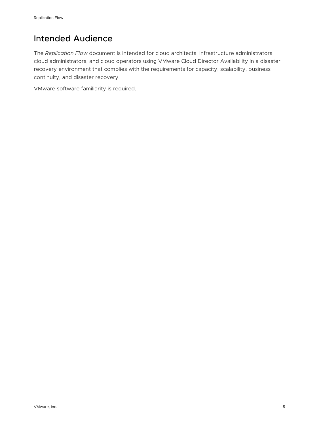## Intended Audience

The *Replication Flow* document is intended for cloud architects, infrastructure administrators, cloud administrators, and cloud operators using VMware Cloud Director Availability in a disaster recovery environment that complies with the requirements for capacity, scalability, business continuity, and disaster recovery.

VMware software familiarity is required.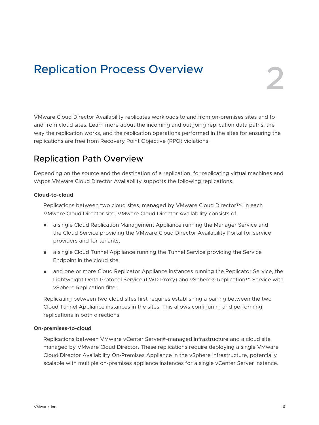## <span id="page-5-0"></span>**Replication Process Overview**

VMware Cloud Director Availability replicates workloads to and from on-premises sites and to and from cloud sites. Learn more about the incoming and outgoing replication data paths, the way the replication works, and the replication operations performed in the sites for ensuring the replications are free from Recovery Point Objective (RPO) violations.

## Replication Path Overview

Depending on the source and the destination of a replication, for replicating virtual machines and vApps VMware Cloud Director Availability supports the following replications.

#### **Cloud-to-cloud**

Replications between two cloud sites, managed by VMware Cloud Director™. In each VMware Cloud Director site, VMware Cloud Director Availability consists of:

- <sup>n</sup> a single Cloud Replication Management Appliance running the Manager Service and the Cloud Service providing the VMware Cloud Director Availability Portal for service providers and for tenants,
- n a single Cloud Tunnel Appliance running the Tunnel Service providing the Service Endpoint in the cloud site,
- n and one or more Cloud Replicator Appliance instances running the Replicator Service, the Lightweight Delta Protocol Service (LWD Proxy) and vSphere® Replication™ Service with vSphere Replication filter.

Replicating between two cloud sites first requires establishing a pairing between the two Cloud Tunnel Appliance instances in the sites. This allows configuring and performing replications in both directions.

#### **On-premises-to-cloud**

Replications between VMware vCenter Server®-managed infrastructure and a cloud site managed by VMware Cloud Director. These replications require deploying a single VMware Cloud Director Availability On-Premises Appliance in the vSphere infrastructure, potentially scalable with multiple on-premises appliance instances for a single vCenter Server instance.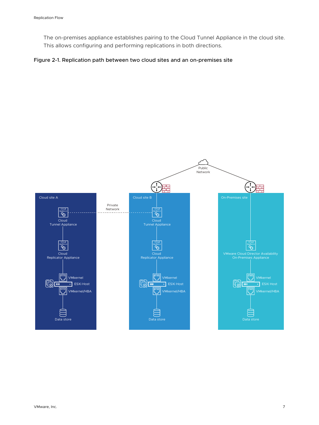The on-premises appliance establishes pairing to the Cloud Tunnel Appliance in the cloud site. This allows configuring and performing replications in both directions.

#### Figure 2-1. Replication path between two cloud sites and an on-premises site

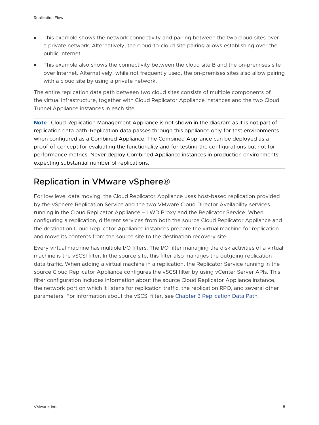- n This example shows the network connectivity and pairing between the two cloud sites over a private network. Alternatively, the cloud-to-cloud site pairing allows establishing over the public Internet.
- This example also shows the connectivity between the cloud site B and the on-premises site over Internet. Alternatively, while not frequently used, the on-premises sites also allow pairing with a cloud site by using a private network.

The entire replication data path between two cloud sites consists of multiple components of the virtual infrastructure, together with Cloud Replicator Appliance instances and the two Cloud Tunnel Appliance instances in each site.

**Note** Cloud Replication Management Appliance is not shown in the diagram as it is not part of replication data path. Replication data passes through this appliance only for test environments when configured as a Combined Appliance. The Combined Appliance can be deployed as a proof-of-concept for evaluating the functionality and for testing the configurations but not for performance metrics. Never deploy Combined Appliance instances in production environments expecting substantial number of replications.

## Replication in VMware vSphere®

For low level data moving, the Cloud Replicator Appliance uses host-based replication provided by the vSphere Replication Service and the two VMware Cloud Director Availability services running in the Cloud Replicator Appliance – LWD Proxy and the Replicator Service. When configuring a replication, different services from both the source Cloud Replicator Appliance and the destination Cloud Replicator Appliance instances prepare the virtual machine for replication and move its contents from the source site to the destination recovery site.

Every virtual machine has multiple I/O filters. The I/O filter managing the disk activities of a virtual machine is the vSCSI filter. In the source site, this filter also manages the outgoing replication data traffic. When adding a virtual machine in a replication, the Replicator Service running in the source Cloud Replicator Appliance configures the vSCSI filter by using vCenter Server APIs. This filter configuration includes information about the source Cloud Replicator Appliance instance, the network port on which it listens for replication traffic, the replication RPO, and several other parameters. For information about the vSCSI filter, see [Chapter 3 Replication Data Path.](#page-12-0)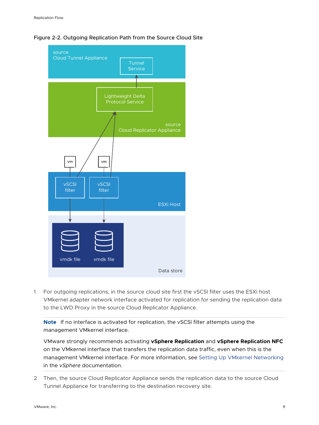



1 For outgoing replications, in the source cloud site first the vSCSI filter uses the ESXi host VMkernel adapter network interface activated for replication for sending the replication data to the LWD Proxy in the source Cloud Replicator Appliance.

**Note** If no interface is activated for replication, the vSCSI filter attempts using the management VMkernel interface.

VMware strongly recommends activating **vSphere Replication** and **vSphere Replication NFC**  on the VMkernel interface that transfers the replication data traffic, even when this is the management VMkernel interface. For more information, see [Setting Up VMkernel Networking](https://docs.vmware.com/en/VMware-vSphere/7.0/com.vmware.vsphere.networking.doc/GUID-8244BA51-BD0F-424E-A00E-DDEC21CF280A.html) in the *vSphere* documentation.

2 Then, the source Cloud Replicator Appliance sends the replication data to the source Cloud Tunnel Appliance for transferring to the destination recovery site.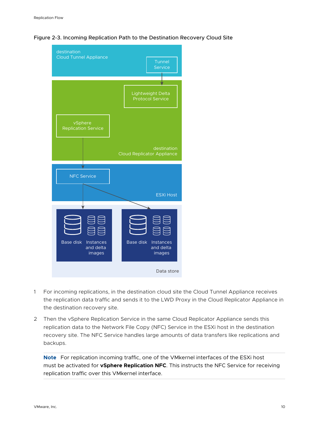



- 1 For incoming replications, in the destination cloud site the Cloud Tunnel Appliance receives the replication data traffic and sends it to the LWD Proxy in the Cloud Replicator Appliance in the destination recovery site.
- 2 Then the vSphere Replication Service in the same Cloud Replicator Appliance sends this replication data to the Network File Copy (NFC) Service in the ESXi host in the destination recovery site. The NFC Service handles large amounts of data transfers like replications and backups.

**Note** For replication incoming traffic, one of the VMkernel interfaces of the ESXi host must be activated for **vSphere Replication NFC**. This instructs the NFC Service for receiving replication traffic over this VMkernel interface.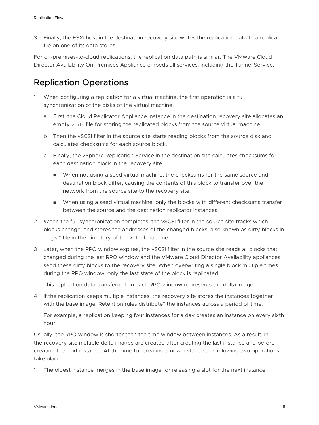3 Finally, the ESXi host in the destination recovery site writes the replication data to a replica file on one of its data stores.

For on-premises-to-cloud replications, the replication data path is similar. The VMware Cloud Director Availability On-Premises Appliance embeds all services, including the Tunnel Service.

## Replication Operations

- 1 When configuring a replication for a virtual machine, the first operation is a full synchronization of the disks of the virtual machine.
	- a First, the Cloud Replicator Appliance instance in the destination recovery site allocates an empty vmdk file for storing the replicated blocks from the source virtual machine.
	- b Then the vSCSI filter in the source site starts reading blocks from the source disk and calculates checksums for each source block.
	- c Finally, the vSphere Replication Service in the destination site calculates checksums for each destination block in the recovery site.
		- **Nen not using a seed virtual machine, the checksums for the same source and** destination block differ, causing the contents of this block to transfer over the network from the source site to the recovery site.
		- **Nen using a seed virtual machine, only the blocks with different checksums transfer** between the source and the destination replicator instances.
- 2 When the full synchronization completes, the vSCSI filter in the source site tracks which blocks change, and stores the addresses of the changed blocks, also known as dirty blocks in a . psf file in the directory of the virtual machine.
- 3 Later, when the RPO window expires, the vSCSI filter in the source site reads all blocks that changed during the last RPO window and the VMware Cloud Director Availability appliances send these dirty blocks to the recovery site. When overwriting a single block multiple times during the RPO window, only the last state of the block is replicated.

This replication data transferred on each RPO window represents the delta image.

4 If the replication keeps multiple instances, the recovery site stores the instances together with the base image. Retention rules distribute<sup>\*</sup> the instances across a period of time.

For example, a replication keeping four instances for a day creates an instance on every sixth hour.

Usually, the RPO window is shorter than the time window between instances. As a result, in the recovery site multiple delta images are created after creating the last instance and before creating the next instance. At the time for creating a new instance the following two operations take place.

1 The oldest instance merges in the base image for releasing a slot for the next instance.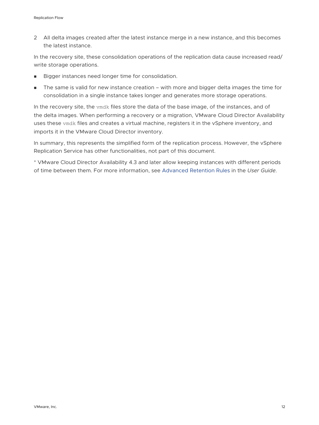2 All delta images created after the latest instance merge in a new instance, and this becomes the latest instance.

In the recovery site, these consolidation operations of the replication data cause increased read/ write storage operations.

- Bigger instances need longer time for consolidation.
- $\blacksquare$  The same is valid for new instance creation with more and bigger delta images the time for consolidation in a single instance takes longer and generates more storage operations.

In the recovery site, the vmdk files store the data of the base image, of the instances, and of the delta images. When performing a recovery or a migration, VMware Cloud Director Availability uses these vmdk files and creates a virtual machine, registers it in the vSphere inventory, and imports it in the VMware Cloud Director inventory.

In summary, this represents the simplified form of the replication process. However, the vSphere Replication Service has other functionalities, not part of this document.

\* VMware Cloud Director Availability 4.3 and later allow keeping instances with different periods of time between them. For more information, see [Advanced Retention Rules](https://docs.vmware.com/en/VMware-Cloud-Director-Availability/4.3/VMware-Cloud-Director-Availability-User-Guide/GUID-7CAAA23D-EFBF-4CFB-A728-4023242172DC.html#advanced-retention-rules-0) in the *User Guide*.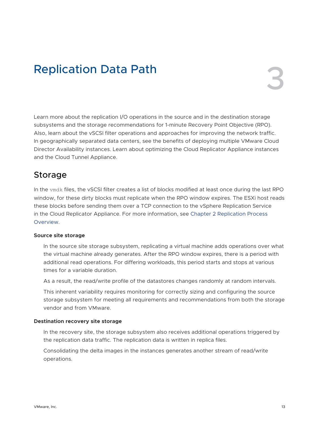## <span id="page-12-0"></span>**Replication Data Path**

Learn more about the replication I/O operations in the source and in the destination storage subsystems and the storage recommendations for 1-minute Recovery Point Objective (RPO). Also, learn about the vSCSI filter operations and approaches for improving the network traffic. In geographically separated data centers, see the benefits of deploying multiple VMware Cloud Director Availability instances. Learn about optimizing the Cloud Replicator Appliance instances and the Cloud Tunnel Appliance.

## Storage

In the vmdk files, the vSCSI filter creates a list of blocks modified at least once during the last RPO window, for these dirty blocks must replicate when the RPO window expires. The ESXi host reads these blocks before sending them over a TCP connection to the vSphere Replication Service in the Cloud Replicator Appliance. For more information, see [Chapter 2 Replication Process](#page-5-0) [Overview.](#page-5-0)

#### **Source site storage**

In the source site storage subsystem, replicating a virtual machine adds operations over what the virtual machine already generates. After the RPO window expires, there is a period with additional read operations. For differing workloads, this period starts and stops at various times for a variable duration.

As a result, the read/write profile of the datastores changes randomly at random intervals.

This inherent variability requires monitoring for correctly sizing and configuring the source storage subsystem for meeting all requirements and recommendations from both the storage vendor and from VMware.

#### **Destination recovery site storage**

In the recovery site, the storage subsystem also receives additional operations triggered by the replication data traffic. The replication data is written in replica files.

Consolidating the delta images in the instances generates another stream of read/write operations.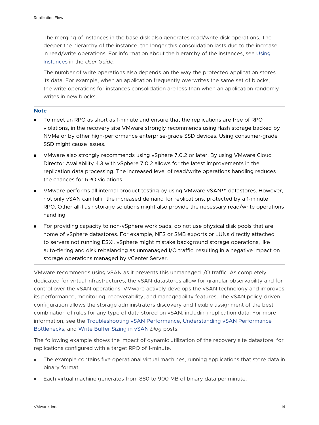The merging of instances in the base disk also generates read/write disk operations. The deeper the hierarchy of the instance, the longer this consolidation lasts due to the increase in read/write operations. For information about the hierarchy of the instances, see [Using](https://docs.vmware.com/en/VMware-Cloud-Director-Availability/4.3/VMware-Cloud-Director-Availability-User-Guide/GUID-7CAAA23D-EFBF-4CFB-A728-4023242172DC.html) [Instances](https://docs.vmware.com/en/VMware-Cloud-Director-Availability/4.3/VMware-Cloud-Director-Availability-User-Guide/GUID-7CAAA23D-EFBF-4CFB-A728-4023242172DC.html) in the *User Guide*.

The number of write operations also depends on the way the protected application stores its data. For example, when an application frequently overwrites the same set of blocks, the write operations for instances consolidation are less than when an application randomly writes in new blocks.

#### **Note**

- To meet an RPO as short as 1-minute and ensure that the replications are free of RPO violations, in the recovery site VMware strongly recommends using flash storage backed by NVMe or by other high-performance enterprise-grade SSD devices. Using consumer-grade SSD might cause issues.
- **Numare also strongly recommends using vSphere 7.0.2 or later. By using VMware Cloud** Director Availability 4.3 with vSphere 7.0.2 allows for the latest improvements in the replication data processing. The increased level of read/write operations handling reduces the chances for RPO violations.
- VMware performs all internal product testing by using VMware vSAN™ datastores. However, not only vSAN can fulfill the increased demand for replications, protected by a 1-minute RPO. Other all-flash storage solutions might also provide the necessary read/write operations handling.
- <sup>n</sup> For providing capacity to non-vSphere workloads, do not use physical disk pools that are home of vSphere datastores. For example, NFS or SMB exports or LUNs directly attached to servers not running ESXi. vSphere might mistake background storage operations, like auto-tiering and disk rebalancing as unmanaged I/O traffic, resulting in a negative impact on storage operations managed by vCenter Server.

VMware recommends using vSAN as it prevents this unmanaged I/O traffic. As completely dedicated for virtual infrastructures, the vSAN datastores allow for granular observability and for control over the vSAN operations. VMware actively develops the vSAN technology and improves its performance, monitoring, recoverability, and manageability features. The vSAN policy-driven configuration allows the storage administrators discovery and flexible assignment of the best combination of rules for any type of data stored on vSAN, including replication data. For more information, see the [Troubleshooting vSAN Performance,](https://via.vmw.com/tchzcoreno1791) [Understanding vSAN Performance](https://via.vmw.com/tchzcoreno3058)  [Bottlenecks](https://via.vmw.com/tchzcoreno3058), and [Write Buffer Sizing in vSAN](https://blogs.vmware.com/virtualblocks/2019/10/01/write-buffer-sizing-vsan/) *blog* posts.

The following example shows the impact of dynamic utilization of the recovery site datastore, for replications configured with a target RPO of 1-minute.

- **n** The example contains five operational virtual machines, running applications that store data in binary format.
- Each virtual machine generates from 880 to 900 MB of binary data per minute.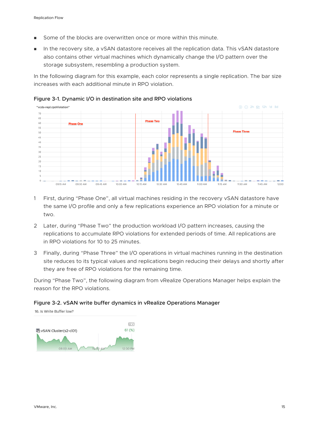- **n** Some of the blocks are overwritten once or more within this minute.
- n In the recovery site, a vSAN datastore receives all the replication data. This vSAN datastore also contains other virtual machines which dynamically change the I/O pattern over the storage subsystem, resembling a production system.

In the following diagram for this example, each color represents a single replication. The bar size increases with each additional minute in RPO violation.



#### Figure 3-1. Dynamic I/O in destination site and RPO violations

- 1 First, during "Phase One", all virtual machines residing in the recovery vSAN datastore have the same I/O profile and only a few replications experience an RPO violation for a minute or two.
- 2 Later, during "Phase Two" the production workload I/O pattern increases, causing the replications to accumulate RPO violations for extended periods of time. All replications are in RPO violations for 10 to 25 minutes.
- 3 Finally, during "Phase Three" the I/O operations in virtual machines running in the destination site reduces to its typical values and replications begin reducing their delays and shortly after they are free of RPO violations for the remaining time.

During "Phase Two", the following diagram from vRealize Operations Manager helps explain the reason for the RPO violations.

#### Figure 3-2. vSAN write buffer dynamics in vRealize Operations Manager

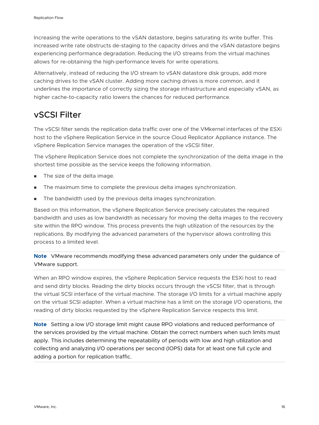Increasing the write operations to the vSAN datastore, begins saturating its write buffer. This increased write rate obstructs de-staging to the capacity drives and the vSAN datastore begins experiencing performance degradation. Reducing the I/O streams from the virtual machines allows for re-obtaining the high-performance levels for write operations.

Alternatively, instead of reducing the I/O stream to vSAN datastore disk groups, add more caching drives to the vSAN cluster. Adding more caching drives is more common, and it underlines the importance of correctly sizing the storage infrastructure and especially vSAN, as higher cache-to-capacity ratio lowers the chances for reduced performance.

### vSCSI Filter

The vSCSI filter sends the replication data traffic over one of the VMkernel interfaces of the ESXi host to the vSphere Replication Service in the source Cloud Replicator Appliance instance. The vSphere Replication Service manages the operation of the vSCSI filter.

The vSphere Replication Service does not complete the synchronization of the delta image in the shortest time possible as the service keeps the following information.

- The size of the delta image.
- The maximum time to complete the previous delta images synchronization.
- The bandwidth used by the previous delta images synchronization.

Based on this information, the vSphere Replication Service precisely calculates the required bandwidth and uses as low bandwidth as necessary for moving the delta images to the recovery site within the RPO window. This process prevents the high utilization of the resources by the replications. By modifying the advanced parameters of the hypervisor allows controlling this process to a limited level.

**Note** VMware recommends modifying these advanced parameters only under the guidance of VMware support.

When an RPO window expires, the vSphere Replication Service requests the ESXi host to read and send dirty blocks. Reading the dirty blocks occurs through the vSCSI filter, that is through the virtual SCSI interface of the virtual machine. The storage I/O limits for a virtual machine apply on the virtual SCSI adapter. When a virtual machine has a limit on the storage I/O operations, the reading of dirty blocks requested by the vSphere Replication Service respects this limit.

**Note** Setting a low I/O storage limit might cause RPO violations and reduced performance of the services provided by the virtual machine. Obtain the correct numbers when such limits must apply. This includes determining the repeatability of periods with low and high utilization and collecting and analyzing I/O operations per second (IOPS) data for at least one full cycle and adding a portion for replication traffic.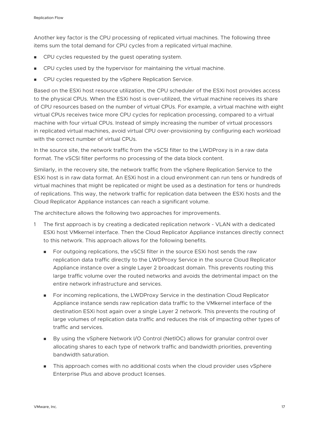Another key factor is the CPU processing of replicated virtual machines. The following three items sum the total demand for CPU cycles from a replicated virtual machine.

- **n** CPU cycles requested by the guest operating system.
- **n** CPU cycles used by the hypervisor for maintaining the virtual machine.
- <sup>n</sup> CPU cycles requested by the vSphere Replication Service.

Based on the ESXi host resource utilization, the CPU scheduler of the ESXi host provides access to the physical CPUs. When the ESXi host is over-utilized, the virtual machine receives its share of CPU resources based on the number of virtual CPUs. For example, a virtual machine with eight virtual CPUs receives twice more CPU cycles for replication processing, compared to a virtual machine with four virtual CPUs. Instead of simply increasing the number of virtual processors in replicated virtual machines, avoid virtual CPU over-provisioning by configuring each workload with the correct number of virtual CPUs.

In the source site, the network traffic from the vSCSI filter to the LWDProxy is in a raw data format. The vSCSI filter performs no processing of the data block content.

Similarly, in the recovery site, the network traffic from the vSphere Replication Service to the ESXi host is in raw data format. An ESXi host in a cloud environment can run tens or hundreds of virtual machines that might be replicated or might be used as a destination for tens or hundreds of replications. This way, the network traffic for replication data between the ESXi hosts and the Cloud Replicator Appliance instances can reach a significant volume.

The architecture allows the following two approaches for improvements.

- 1 The first approach is by creating a dedicated replication network VLAN with a dedicated ESXi host VMkernel interface. Then the Cloud Replicator Appliance instances directly connect to this network. This approach allows for the following benefits.
	- <sup>n</sup> For outgoing replications, the vSCSI filter in the source ESXi host sends the raw replication data traffic directly to the LWDProxy Service in the source Cloud Replicator Appliance instance over a single Layer 2 broadcast domain. This prevents routing this large traffic volume over the routed networks and avoids the detrimental impact on the entire network infrastructure and services.
	- **n** For incoming replications, the LWDProxy Service in the destination Cloud Replicator Appliance instance sends raw replication data traffic to the VMkernel interface of the destination ESXi host again over a single Layer 2 network. This prevents the routing of large volumes of replication data traffic and reduces the risk of impacting other types of traffic and services.
	- By using the vSphere Network I/O Control (NetIOC) allows for granular control over allocating shares to each type of network traffic and bandwidth priorities, preventing bandwidth saturation.
	- n This approach comes with no additional costs when the cloud provider uses vSphere Enterprise Plus and above product licenses.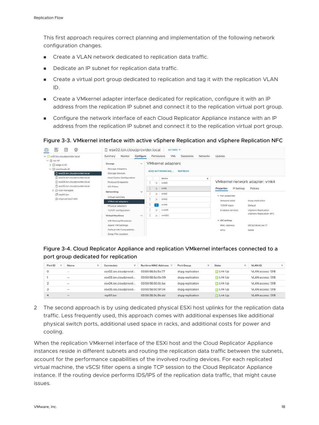This first approach requires correct planning and implementation of the following network configuration changes.

- Create a VLAN network dedicated to replication data traffic.
- **n** Dedicate an IP subnet for replication data traffic.
- n Create a virtual port group dedicated to replication and tag it with the replication VLAN ID.
- n Create a VMkernel adapter interface dedicated for replication, configure it with an IP address from the replication IP subnet and connect it to the replication virtual port group.
- **n** Configure the network interface of each Cloud Replicator Appliance instance with an IP address from the replication IP subnet and connect it to the replication virtual port group.

Figure 3-3. VMkernel interface with active vSphere Replication and vSphere Replication NFC

| v (R) vc01.lon.cloudprovider.local<br>$\vee$   $\parallel$ lon-01 | Monitor<br>Summary                                                                             | Configure    |   | Permissions | <b>VMs</b><br>Networks<br>Datastores    | Updates                                                              |                                |  |
|-------------------------------------------------------------------|------------------------------------------------------------------------------------------------|--------------|---|-------------|-----------------------------------------|----------------------------------------------------------------------|--------------------------------|--|
| [i] edge-cl-01<br>У                                               | Storage                                                                                        | $\checkmark$ |   |             | <b>VMkernel adapters</b>                |                                                                      |                                |  |
| $\vee$ [C] workloads-01                                           | Storage Adapters                                                                               |              |   |             | <b>ADD NETWORKING</b><br><b>REFRESH</b> |                                                                      |                                |  |
| esx02.lon.cloudprovider.local                                     | Storage Devices                                                                                |              |   |             |                                         |                                                                      |                                |  |
| esx03.lon.cloudprovider.local                                     | Host Cache Configuration                                                                       |              |   |             | Device<br>т                             |                                                                      |                                |  |
| esx04.lon.cloudprovider.local                                     | Protocol Endpoints                                                                             |              |   | $\gg$       | vmkO                                    |                                                                      | VMkernel network adapter: vmk4 |  |
| esx05.lon.cloudprovider.local                                     | I/O Filters<br>Networking<br>Virtual switches<br><b>VMkernel adapters</b><br>Physical adapters | $\checkmark$ | ÷ | »           | vmk1                                    | IP Settings<br>Properties<br>$\vee$ Port properties<br>Network label | Policies                       |  |
| $\triangleright$ $\ominus$ vcd-managed                            |                                                                                                |              |   | $\gg$       | vmk2                                    |                                                                      |                                |  |
| repl01.lon<br>d tmpl-centos7-x64                                  |                                                                                                |              |   |             |                                         |                                                                      | dvpg-replication<br>Default    |  |
|                                                                   |                                                                                                |              | ÷ | $\gg$       | $v$ mk $3$                              |                                                                      |                                |  |
|                                                                   |                                                                                                |              |   | «           | vmk4                                    | TCP/IP stack                                                         |                                |  |
|                                                                   | TCP/IP configuration                                                                           |              | ÷ | $\gg$       | vmk10                                   | <b>Enabled services</b>                                              | vSphere Replication            |  |
|                                                                   | Virtual Machines                                                                               | $\checkmark$ |   | $\gg$       | vmk50                                   |                                                                      | vSphere Replication NFC        |  |
|                                                                   | VM Startup/Shutdown                                                                            |              |   |             |                                         | $\times$ NIC settings                                                |                                |  |
|                                                                   | Agent VM Settings                                                                              |              |   |             |                                         | MAC address                                                          | 00:50:56:6c:5e:77              |  |
|                                                                   | Default VM Compatibility                                                                       |              |   |             |                                         | <b>MTU</b>                                                           | 9000                           |  |
|                                                                   | Swap File Location                                                                             |              |   |             |                                         |                                                                      |                                |  |

#### Figure 3-4. Cloud Replicator Appliance and replication VMkernel interfaces connected to a port group dedicated for replication

| Port ID | Name                 | Connectee             | Runtime MAC Address T | Port Group       | State          | <b>VLAN ID</b>    |
|---------|----------------------|-----------------------|-----------------------|------------------|----------------|-------------------|
|         | $\scriptstyle\cdots$ | esx02.lon.cloudprovid | 00:50:56:6c:5e:77     | dvpg-replication | Link Up        | VLAN access: 1318 |
|         | $\cdots$             | esx03.lon.cloudprovid | 00:50:56:6d:0e:59     | dvpg-replication | J Link Up      | VLAN access: 1318 |
|         | <b>Ball</b>          | esx04.lon.cloudprovid | 00:50:56:60:0c:ba     | dypg-replication | <b>Link Up</b> | VLAN access: 1318 |
|         | $-$                  | esx05.lon.cloudprovid | 00:50:56:60:97:34     | dvpg-replication | Link Up        | VLAN access: 1318 |
|         | $\sim$               | repl01.lon            | 00:50:56:9c:9b:dd     | dvpg-replication | <b>Link Up</b> | VLAN access: 1318 |

2 The second approach is by using dedicated physical ESXi host uplinks for the replication data traffic. Less frequently used, this approach comes with additional expenses like additional physical switch ports, additional used space in racks, and additional costs for power and cooling.

When the replication VMkernel interface of the ESXi host and the Cloud Replicator Appliance instances reside in different subnets and routing the replication data traffic between the subnets, account for the performance capabilities of the involved routing devices. For each replicated virtual machine, the vSCSI filter opens a single TCP session to the Cloud Replicator Appliance instance. If the routing device performs IDS/IPS of the replication data traffic, that might cause issues.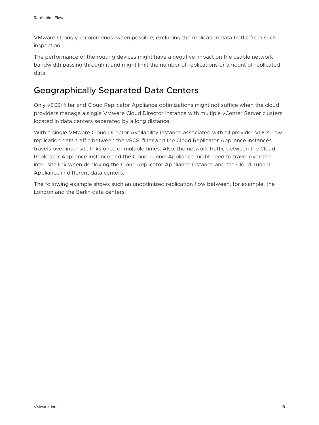VMware strongly recommends, when possible, excluding the replication data traffic from such inspection.

The performance of the routing devices might have a negative impact on the usable network bandwidth passing through it and might limit the number of replications or amount of replicated data.

## Geographically Separated Data Centers

Only vSCSI filter and Cloud Replicator Appliance optimizations might not suffice when the cloud providers manage a single VMware Cloud Director instance with multiple vCenter Server clusters located in data centers separated by a long distance.

With a single VMware Cloud Director Availability instance associated with all provider VDCs, raw replication data traffic between the vSCSI filter and the Cloud Replicator Appliance instances travels over inter-site links once or multiple times. Also, the network traffic between the Cloud Replicator Appliance instance and the Cloud Tunnel Appliance might need to travel over the inter-site link when deploying the Cloud Replicator Appliance instance and the Cloud Tunnel Appliance in different data centers.

The following example shows such an unoptimized replication flow between, for example, the London and the Berlin data centers.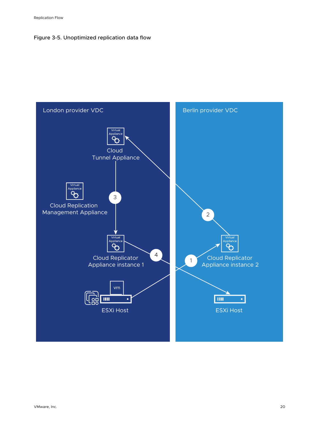#### Figure 3-5. Unoptimized replication data flow

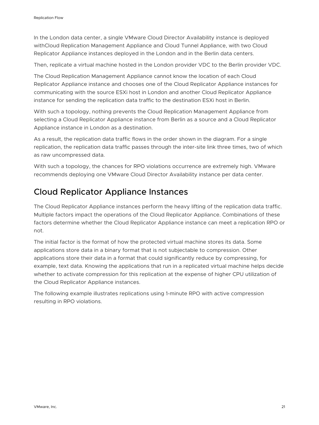In the London data center, a single VMware Cloud Director Availability instance is deployed withCloud Replication Management Appliance and Cloud Tunnel Appliance, with two Cloud Replicator Appliance instances deployed in the London and in the Berlin data centers.

Then, replicate a virtual machine hosted in the London provider VDC to the Berlin provider VDC.

The Cloud Replication Management Appliance cannot know the location of each Cloud Replicator Appliance instance and chooses one of the Cloud Replicator Appliance instances for communicating with the source ESXi host in London and another Cloud Replicator Appliance instance for sending the replication data traffic to the destination ESXi host in Berlin.

With such a topology, nothing prevents the Cloud Replication Management Appliance from selecting a Cloud Replicator Appliance instance from Berlin as a source and a Cloud Replicator Appliance instance in London as a destination.

As a result, the replication data traffic flows in the order shown in the diagram. For a single replication, the replication data traffic passes through the inter-site link three times, two of which as raw uncompressed data.

With such a topology, the chances for RPO violations occurrence are extremely high. VMware recommends deploying one VMware Cloud Director Availability instance per data center.

### Cloud Replicator Appliance Instances

The Cloud Replicator Appliance instances perform the heavy lifting of the replication data traffic. Multiple factors impact the operations of the Cloud Replicator Appliance. Combinations of these factors determine whether the Cloud Replicator Appliance instance can meet a replication RPO or not.

The initial factor is the format of how the protected virtual machine stores its data. Some applications store data in a binary format that is not subjectable to compression. Other applications store their data in a format that could significantly reduce by compressing, for example, text data. Knowing the applications that run in a replicated virtual machine helps decide whether to activate compression for this replication at the expense of higher CPU utilization of the Cloud Replicator Appliance instances.

The following example illustrates replications using 1-minute RPO with active compression resulting in RPO violations.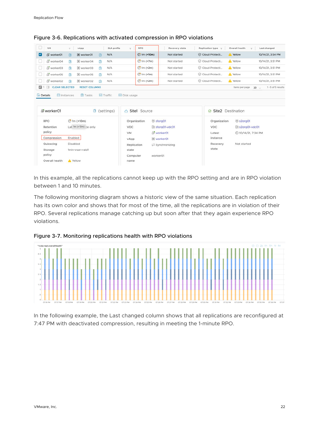|   | VM                                    | Υ.       | vApp                  |   | SLA profile | Y.         | RPO                       | Recovery state  | Replication type Y | Overall health<br>×. | Last changed                         |
|---|---------------------------------------|----------|-----------------------|---|-------------|------------|---------------------------|-----------------|--------------------|----------------------|--------------------------------------|
| M | worker01                              | 日        | 田 worker01            | 圖 | N/A         |            | $$\mathbb{C}$ 1m (+10m)   | Not started     | Cloud Protecti     | A Yellow             | 10/14/21, 3:54 PM                    |
|   | worker04                              | 皀        | iii worker04          | 白 | N/A         |            | $\circled{1}$ 1m (+7m)    | Not started     | Cloud Protecti     | <b>A</b> Yellow      | 10/14/21, 3:51 PM                    |
| u | do worker03                           | 白        | 围 worker03            | 曲 | N/A         |            | $$1m (+2m)$               | Not started     | Cloud Protecti     | A Yellow             | 10/14/21, 3:51 PM                    |
|   | worker05                              | 白        | 国 worker05            | 麘 | N/A         |            | $\circled{1}$ 1m (+1m)    | Not started     | Cloud Protecti     | A Yellow             | 10/14/21, 3:51 PM                    |
|   | worker02                              | 尚        | 田 worker02            | 冑 | N/A         |            | $$1m (+2m)$               | Not started     | Cloud Protecti     | <b>A</b> Yellow      | 10/14/21, 3:51 PM                    |
| ⊡ | <b>CLEAR SELECTED</b><br>$\mathbb{H}$ |          | <b>RESET COLUMNS</b>  |   |             |            |                           |                 |                    | Items per page       | 1 - 5 of 5 results<br>$20$ $\degree$ |
|   | instances<br><b>Details</b>           |          |                       |   |             |            |                           |                 |                    |                      |                                      |
|   | & worker01                            |          | 色                     |   |             | $\alpha$   | Site1 Source              |                 | Ø                  | Site2 Destination    |                                      |
|   |                                       |          |                       |   | (settings)  |            |                           |                 |                    |                      |                                      |
|   | <b>RPO</b>                            |          | $$1m (+10m)$          |   |             |            | 器 slorg01<br>Organization |                 | Organization       | 器 s2org01            |                                      |
|   | Retention                             |          | Lat 1m (+10m) ce only |   |             | <b>VDC</b> |                           | Slorg01-vdc01   | <b>VDC</b>         | S2org01-vdc01        |                                      |
|   | policy                                |          |                       |   |             | VM         | worker01                  |                 | Latest             | C 10/14/21, 7:34 PM  |                                      |
|   | Compression                           | Enabled  |                       |   |             | vApp       | 图 worker01                |                 | instance           |                      |                                      |
|   | Quiescing                             | Disabled |                       |   |             |            | Replication               | ₿ Synchronizing | Recovery           | Not started          |                                      |
|   | Storage                               |          | 1min-vsan-raid1       |   |             | state      |                           |                 | state              |                      |                                      |
|   | policy                                |          |                       |   |             | Computer   | worker01                  |                 |                    |                      |                                      |

Figure 3-6. Replications with activated compression in RPO violations

In this example, all the replications cannot keep up with the RPO setting and are in RPO violation between 1 and 10 minutes.

The following monitoring diagram shows a historic view of the same situation. Each replication has its own color and shows that for most of the time, all the replications are in violation of their RPO. Several replications manage catching up but soon after that they again experience RPO violations.





In the following example, the Last changed column shows that all replications are reconfigured at 7:47 PM with deactivated compression, resulting in meeting the 1-minute RPO.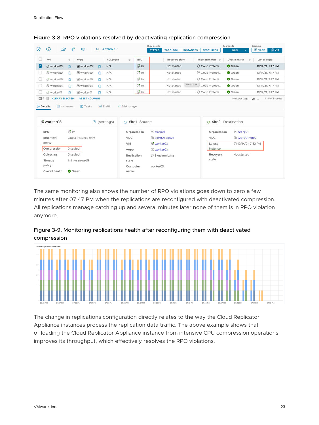|                                 |                       |                 |                      |   |                                          |                 | Show details                  |                 |                  |                                   | Source site           | Grouping       |               |                    |
|---------------------------------|-----------------------|-----------------|----------------------|---|------------------------------------------|-----------------|-------------------------------|-----------------|------------------|-----------------------------------|-----------------------|----------------|---------------|--------------------|
| ♡                               | Œ<br>$\bigcirc$       | $\frac{1}{2}$   | $\circledcirc$       |   | ALL ACTIONS Y                            |                 | <b>STATUS</b>                 | <b>TOPOLOGY</b> | <b>INSTANCES</b> | <b>RESOURCES</b>                  | SITE1<br>$\checkmark$ |                | <b>E VAPP</b> | ® ∨м               |
|                                 | VM                    | $\mathbf{Y}$    | vApp                 |   | SLA profile<br>Y.                        | RPO             |                               | Recovery state  |                  | Replication type<br>$\mathcal{A}$ | Overall health        | Ý.             | Last changed  |                    |
| Ø                               | worker03              | 闾               | <b>E</b> worker03    | 图 | N/A                                      | $\mathbb{C}$ 1m |                               | Not started     |                  | Cloud Protecti                    | Green                 |                |               | 10/14/21, 7:47 PM  |
|                                 | worker02              | 圖               | B worker02           | 白 | N/A                                      | $\mathbb{C}$ 1m | Cloud Protecti<br>Not started |                 | Green            | 10/14/21, 7:47 PM                 |                       |                |               |                    |
| u.                              | worker05              | 麘               | B worker05           | 蚀 | N/A                                      | $\mathbb{C}$ 1m |                               | Not started     |                  | Cloud Protecti                    | Green                 |                |               | 10/14/21, 7:47 PM  |
|                                 | worker04              | 扂               | B worker04           | 鲁 | N/A                                      | $\mathbb{C}$ 1m |                               | Not started     |                  | Not started Cloud Protecti        | Green                 |                |               | 10/14/21, 7:47 PM  |
|                                 | worker01              | 岛               | 围 worker01           | 尚 | N/A                                      | C <sup>1m</sup> |                               | Not started     |                  | Cloud Protecti                    | Green                 |                |               | 10/14/21, 7:47 PM  |
| $\blacksquare$ 1 $\blacksquare$ | <b>CLEAR SELECTED</b> |                 | <b>RESET COLUMNS</b> |   |                                          |                 |                               |                 |                  |                                   | Items per page        | $20$ $\degree$ |               | 1 - 5 of 5 results |
| <b>Details</b>                  | instances             |                 | <b>D</b> Tasks       |   | <b>Ed</b> Traffic<br><b>⊠</b> Disk usage |                 |                               |                 |                  |                                   |                       |                |               |                    |
|                                 | dvorker03             |                 |                      |   | B (settings)                             | Site1 Source    |                               |                 |                  | Site <sub>2</sub><br>$\circ$      | Destination           |                |               |                    |
|                                 | <b>RPO</b>            | $\mathbb{C}$ 1m |                      |   |                                          | Organization    | 器 slorg01                     |                 |                  | Organization                      | 器 s2org01             |                |               |                    |

#### Figure 3-8. RPO violations resolved by deactivating replication compression

| di worker03              | B (settings)                            | △ Site1 Source             |                                  | Site2 Destination          |                            |
|--------------------------|-----------------------------------------|----------------------------|----------------------------------|----------------------------|----------------------------|
| <b>RPO</b><br>Retention  | $\mathbb{C}$ 1m<br>Latest instance only | Organization<br><b>VDC</b> | 器 slorg01<br>Slorg01-vdc01       | Organization<br><b>VDC</b> | 器 s2org01<br>S2org01-vdc01 |
| policy<br>Compression    | Disabled                                | VM<br>vApp                 | dvorker03<br><b>III</b> worker03 | Latest<br>instance         | C 10/14/21, 7:52 PM        |
| Quiescing<br>Storage     | Disabled<br>1min-vsan-raid5             | Replication<br>state       | ₿ Synchronizing                  | Recovery<br>state          | Not started                |
| policy<br>Overall health | Green                                   | Computer<br>name           | worker03                         |                            |                            |

The same monitoring also shows the number of RPO violations goes down to zero a few minutes after 07:47 PM when the replications are reconfigured with deactivated compression. All replications manage catching up and several minutes later none of them is in RPO violation anymore.





The change in replications configuration directly relates to the way the Cloud Replicator Appliance instances process the replication data traffic. The above example shows that offloading the Cloud Replicator Appliance instance from intensive CPU compression operations improves its throughput, which effectively resolves the RPO violations.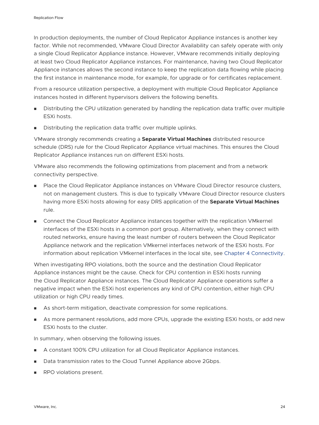In production deployments, the number of Cloud Replicator Appliance instances is another key factor. While not recommended, VMware Cloud Director Availability can safely operate with only a single Cloud Replicator Appliance instance. However, VMware recommends initially deploying at least two Cloud Replicator Appliance instances. For maintenance, having two Cloud Replicator Appliance instances allows the second instance to keep the replication data flowing while placing the first instance in maintenance mode, for example, for upgrade or for certificates replacement.

From a resource utilization perspective, a deployment with multiple Cloud Replicator Appliance instances hosted in different hypervisors delivers the following benefits.

- <sup>n</sup> Distributing the CPU utilization generated by handling the replication data traffic over multiple ESXi hosts.
- Distributing the replication data traffic over multiple uplinks.

VMware strongly recommends creating a **Separate Virtual Machines** distributed resource schedule (DRS) rule for the Cloud Replicator Appliance virtual machines. This ensures the Cloud Replicator Appliance instances run on different ESXi hosts.

VMware also recommends the following optimizations from placement and from a network connectivity perspective.

- Place the Cloud Replicator Appliance instances on VMware Cloud Director resource clusters, not on management clusters. This is due to typically VMware Cloud Director resource clusters having more ESXi hosts allowing for easy DRS application of the **Separate Virtual Machines**  rule.
- **n** Connect the Cloud Replicator Appliance instances together with the replication VMkernel interfaces of the ESXi hosts in a common port group. Alternatively, when they connect with routed networks, ensure having the least number of routers between the Cloud Replicator Appliance network and the replication VMkernel interfaces network of the ESXi hosts. For information about replication VMkernel interfaces in the local site, see [Chapter 4 Connectivity.](#page-25-0)

When investigating RPO violations, both the source and the destination Cloud Replicator Appliance instances might be the cause. Check for CPU contention in ESXi hosts running the Cloud Replicator Appliance instances. The Cloud Replicator Appliance operations suffer a negative impact when the ESXi host experiences any kind of CPU contention, either high CPU utilization or high CPU ready times.

- **n** As short-term mitigation, deactivate compression for some replications.
- **n** As more permanent resolutions, add more CPUs, upgrade the existing ESXi hosts, or add new ESXi hosts to the cluster.

In summary, when observing the following issues.

- **A constant 100% CPU utilization for all Cloud Replicator Appliance instances.**
- Data transmission rates to the Cloud Tunnel Appliance above 2Gbps.
- RPO violations present.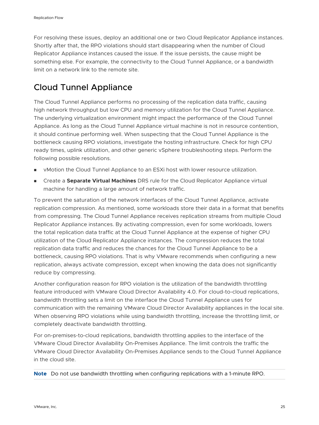For resolving these issues, deploy an additional one or two Cloud Replicator Appliance instances. Shortly after that, the RPO violations should start disappearing when the number of Cloud Replicator Appliance instances caused the issue. If the issue persists, the cause might be something else. For example, the connectivity to the Cloud Tunnel Appliance, or a bandwidth limit on a network link to the remote site.

## Cloud Tunnel Appliance

The Cloud Tunnel Appliance performs no processing of the replication data traffic, causing high network throughput but low CPU and memory utilization for the Cloud Tunnel Appliance. The underlying virtualization environment might impact the performance of the Cloud Tunnel Appliance. As long as the Cloud Tunnel Appliance virtual machine is not in resource contention, it should continue performing well. When suspecting that the Cloud Tunnel Appliance is the bottleneck causing RPO violations, investigate the hosting infrastructure. Check for high CPU ready times, uplink utilization, and other generic vSphere troubleshooting steps. Perform the following possible resolutions.

- **Number 1** vMotion the Cloud Tunnel Appliance to an ESXi host with lower resource utilization.
- **n Create a Separate Virtual Machines** DRS rule for the Cloud Replicator Appliance virtual machine for handling a large amount of network traffic.

To prevent the saturation of the network interfaces of the Cloud Tunnel Appliance, activate replication compression. As mentioned, some workloads store their data in a format that benefits from compressing. The Cloud Tunnel Appliance receives replication streams from multiple Cloud Replicator Appliance instances. By activating compression, even for some workloads, lowers the total replication data traffic at the Cloud Tunnel Appliance at the expense of higher CPU utilization of the Cloud Replicator Appliance instances. The compression reduces the total replication data traffic and reduces the chances for the Cloud Tunnel Appliance to be a bottleneck, causing RPO violations. That is why VMware recommends when configuring a new replication, always activate compression, except when knowing the data does not significantly reduce by compressing.

Another configuration reason for RPO violation is the utilization of the bandwidth throttling feature introduced with VMware Cloud Director Availability 4.0. For cloud-to-cloud replications, bandwidth throttling sets a limit on the interface the Cloud Tunnel Appliance uses for communication with the remaining VMware Cloud Director Availability appliances in the local site. When observing RPO violations while using bandwidth throttling, increase the throttling limit, or completely deactivate bandwidth throttling.

For on-premises-to-cloud replications, bandwidth throttling applies to the interface of the VMware Cloud Director Availability On-Premises Appliance. The limit controls the traffic the VMware Cloud Director Availability On-Premises Appliance sends to the Cloud Tunnel Appliance in the cloud site.

**Note** Do not use bandwidth throttling when configuring replications with a 1-minute RPO.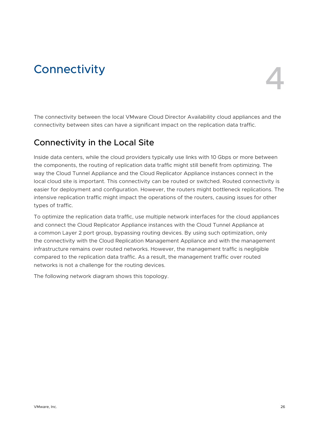# <span id="page-25-0"></span>Connectivity 4

The connectivity between the local VMware Cloud Director Availability cloud appliances and the connectivity between sites can have a significant impact on the replication data traffic.

## Connectivity in the Local Site

Inside data centers, while the cloud providers typically use links with 10 Gbps or more between the components, the routing of replication data traffic might still benefit from optimizing. The way the Cloud Tunnel Appliance and the Cloud Replicator Appliance instances connect in the local cloud site is important. This connectivity can be routed or switched. Routed connectivity is easier for deployment and configuration. However, the routers might bottleneck replications. The intensive replication traffic might impact the operations of the routers, causing issues for other types of traffic.

To optimize the replication data traffic, use multiple network interfaces for the cloud appliances and connect the Cloud Replicator Appliance instances with the Cloud Tunnel Appliance at a common Layer 2 port group, bypassing routing devices. By using such optimization, only the connectivity with the Cloud Replication Management Appliance and with the management infrastructure remains over routed networks. However, the management traffic is negligible compared to the replication data traffic. As a result, the management traffic over routed networks is not a challenge for the routing devices.

The following network diagram shows this topology.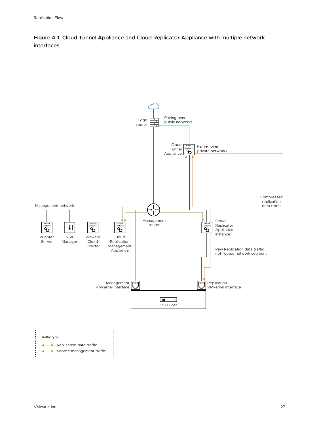Figure 4-1. Cloud Tunnel Appliance and Cloud Replicator Appliance with multiple network interfaces

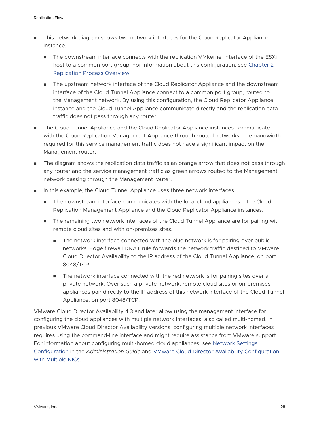- This network diagram shows two network interfaces for the Cloud Replicator Appliance instance.
	- n The downstream interface connects with the replication VMkernel interface of the ESXi host to a common port group. For information about this configuration, see [Chapter 2](#page-5-0)  [Replication Process Overview](#page-5-0).
	- **n** The upstream network interface of the Cloud Replicator Appliance and the downstream interface of the Cloud Tunnel Appliance connect to a common port group, routed to the Management network. By using this configuration, the Cloud Replicator Appliance instance and the Cloud Tunnel Appliance communicate directly and the replication data traffic does not pass through any router.
- n The Cloud Tunnel Appliance and the Cloud Replicator Appliance instances communicate with the Cloud Replication Management Appliance through routed networks. The bandwidth required for this service management traffic does not have a significant impact on the Management router.
- **n** The diagram shows the replication data traffic as an orange arrow that does not pass through any router and the service management traffic as green arrows routed to the Management network passing through the Management router.
- <sup>n</sup> In this example, the Cloud Tunnel Appliance uses three network interfaces.
	- n The downstream interface communicates with the local cloud appliances the Cloud Replication Management Appliance and the Cloud Replicator Appliance instances.
	- The remaining two network interfaces of the Cloud Tunnel Appliance are for pairing with remote cloud sites and with on-premises sites.
		- n The network interface connected with the blue network is for pairing over public networks. Edge firewall DNAT rule forwards the network traffic destined to VMware Cloud Director Availability to the IP address of the Cloud Tunnel Appliance, on port 8048/TCP.
		- n The network interface connected with the red network is for pairing sites over a private network. Over such a private network, remote cloud sites or on-premises appliances pair directly to the IP address of this network interface of the Cloud Tunnel Appliance, on port 8048/TCP.

VMware Cloud Director Availability 4.3 and later allow using the management interface for configuring the cloud appliances with multiple network interfaces, also called multi-homed. In previous VMware Cloud Director Availability versions, configuring multiple network interfaces requires using the command-line interface and might require assistance from VMware support. For information about configuring multi-homed cloud appliances, see [Network Settings](https://docs.vmware.com/en/VMware-Cloud-Director-Availability/4.3/VMware-Cloud-Director-Availability-Admin-Guide/GUID-6458FFAF-280C-408E-B310-11B8F5A06FD0.html)  [Configuration](https://docs.vmware.com/en/VMware-Cloud-Director-Availability/4.3/VMware-Cloud-Director-Availability-Admin-Guide/GUID-6458FFAF-280C-408E-B310-11B8F5A06FD0.html) in the *Administration Guide* and [VMware Cloud Director Availability Configuration](https://blogs.vmware.com/cloudprovider/2021/07/vmware-cloud-director-availability-configuration-with-multiple-nics.html) [with Multiple NICs](https://blogs.vmware.com/cloudprovider/2021/07/vmware-cloud-director-availability-configuration-with-multiple-nics.html).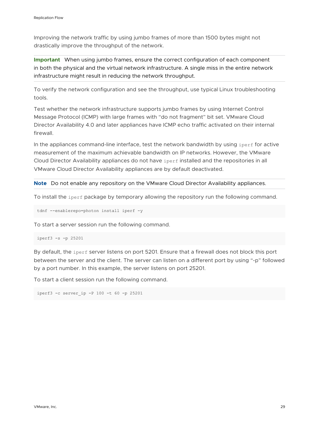Improving the network traffic by using jumbo frames of more than 1500 bytes might not drastically improve the throughput of the network.

**Important** When using jumbo frames, ensure the correct configuration of each component in both the physical and the virtual network infrastructure. A single miss in the entire network infrastructure might result in reducing the network throughput.

To verify the network configuration and see the throughput, use typical Linux troubleshooting tools.

Test whether the network infrastructure supports jumbo frames by using Internet Control Message Protocol (ICMP) with large frames with "do not fragment" bit set. VMware Cloud Director Availability 4.0 and later appliances have ICMP echo traffic activated on their internal firewall.

In the appliances command-line interface, test the network bandwidth by using iperf for active measurement of the maximum achievable bandwidth on IP networks. However, the VMware Cloud Director Availability appliances do not have iperf installed and the repositories in all VMware Cloud Director Availability appliances are by default deactivated.

**Note** Do not enable any repository on the VMware Cloud Director Availability appliances.

To install the  $i$  perf package by temporary allowing the repository run the following command.

tdnf --enablerepo=photon install iperf -y

To start a server session run the following command.

```
iperf3 -s -p 25201
```
By default, the iperf server listens on port 5201. Ensure that a firewall does not block this port between the server and the client. The server can listen on a different port by using "-p" followed by a port number. In this example, the server listens on port 25201.

To start a client session run the following command.

```
iperf3 -c server_ip -P 100 -t 60 -p 25201
```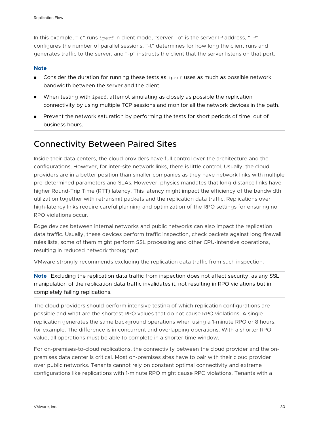In this example, "-c" runs iperf in client mode, "server\_ip" is the server IP address, "-P" configures the number of parallel sessions, "-t" determines for how long the client runs and generates traffic to the server, and "-p" instructs the client that the server listens on that port.

#### **Note**

- **n** Consider the duration for running these tests as iperf uses as much as possible network bandwidth between the server and the client.
- When testing with  $i$  perf, attempt simulating as closely as possible the replication connectivity by using multiple TCP sessions and monitor all the network devices in the path.
- **n** Prevent the network saturation by performing the tests for short periods of time, out of business hours.

## Connectivity Between Paired Sites

Inside their data centers, the cloud providers have full control over the architecture and the configurations. However, for inter-site network links, there is little control. Usually, the cloud providers are in a better position than smaller companies as they have network links with multiple pre-determined parameters and SLAs. However, physics mandates that long-distance links have higher Round-Trip Time (RTT) latency. This latency might impact the efficiency of the bandwidth utilization together with retransmit packets and the replication data traffic. Replications over high-latency links require careful planning and optimization of the RPO settings for ensuring no RPO violations occur.

Edge devices between internal networks and public networks can also impact the replication data traffic. Usually, these devices perform traffic inspection, check packets against long firewall rules lists, some of them might perform SSL processing and other CPU-intensive operations, resulting in reduced network throughput.

VMware strongly recommends excluding the replication data traffic from such inspection.

**Note** Excluding the replication data traffic from inspection does not affect security, as any SSL manipulation of the replication data traffic invalidates it, not resulting in RPO violations but in completely failing replications.

The cloud providers should perform intensive testing of which replication configurations are possible and what are the shortest RPO values that do not cause RPO violations. A single replication generates the same background operations when using a 1-minute RPO or 8 hours, for example. The difference is in concurrent and overlapping operations. With a shorter RPO value, all operations must be able to complete in a shorter time window.

For on-premises-to-cloud replications, the connectivity between the cloud provider and the onpremises data center is critical. Most on-premises sites have to pair with their cloud provider over public networks. Tenants cannot rely on constant optimal connectivity and extreme configurations like replications with 1-minute RPO might cause RPO violations. Tenants with a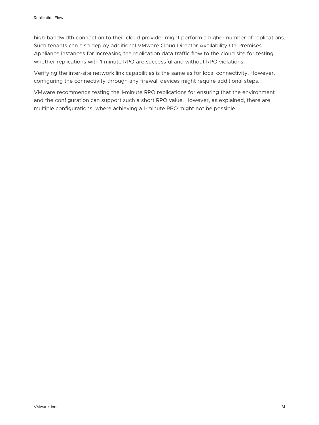high-bandwidth connection to their cloud provider might perform a higher number of replications. Such tenants can also deploy additional VMware Cloud Director Availability On-Premises Appliance instances for increasing the replication data traffic flow to the cloud site for testing whether replications with 1-minute RPO are successful and without RPO violations.

Verifying the inter-site network link capabilities is the same as for local connectivity. However, configuring the connectivity through any firewall devices might require additional steps.

VMware recommends testing the 1-minute RPO replications for ensuring that the environment and the configuration can support such a short RPO value. However, as explained, there are multiple configurations, where achieving a 1-minute RPO might not be possible.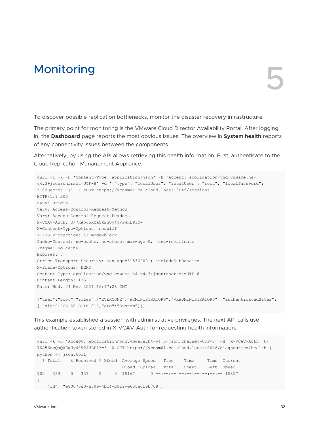## <span id="page-31-0"></span>Monitoring Services and Services Services and Services and Services and Services and Services and Services and Services and Services and Services and Services and Services and Services and Services and Services and Service

To discover possible replication bottlenecks, monitor the disaster recovery infrastructure.

The primary point for monitoring is the VMware Cloud Director Availability Portal. After logging in, the **Dashboard** page reports the most obvious issues. The overview in **System health** reports of any connectivity issues between the components.

Alternatively, by using the API allows retrieving this health information. First, authenticate to the Cloud Replication Management Appliance.

```
curl -i -k -H 'Content-Type: application/json' -H 'Accept: application/vnd.vmware.h4-
v4.3+json;charset=UTF-8' -d '{"type": "localUser", "localUser": "root", "localPassword": 
"T0pSecret!"}' -X POST https://vcdam01.ca.cloud.local:8046/sessions
HTTP/1.1 200
Vary: Origin
Vary: Access-Control-Request-Method
Vary: Access-Control-Request-Headers
X-VCAV-Auth: U/7KA56oxQaQXEgUy4jVP4HLPIY=
X-Content-Type-Options: nosniff
X-XSS-Protection: 1; mode=block
Cache-Control: no-cache, no-store, max-age=0, must-revalidate
Pragma: no-cache
Expires: 0
Strict-Transport-Security: max-age=31536000 ; includeSubDomains
X-Frame-Options: DENY
Content-Type: application/vnd.vmware.h4-v4.3+json;charset=UTF-8
Content-Length: 135
Date: Wed, 24 Nov 2021 16:17:28 GMT
{"user":"root","roles":["EVERYONE","ADMINISTRATORS","VRADMINISTRATORS"],"authenticatedSites":
[{"site":"CA-DR-Site-01","org":"System"}]}
```
This example established a session with administrative privileges. The next API calls use authentication token stored in X-VCAV-Auth for requesting health information.

```
curl -k -H 'Accept: application/vnd.vmware.h4-v4.3+json;charset=UTF-8' -H 'X-VCAV-Auth: U/
7KA56oxQaQXEgUy4jVP4HLPIY=' -X GET https://vcdam01.ca.cloud.local:8046/diagnostics/health | 
python -m json.tool
 % Total % Received % Xferd Average Speed Time Time Time Current
                              Dload Upload Total Spent Left Speed
100 333 0 333 0 0 15167 0 --:--:-- --:--- --:---:-- 15857
{
   "id": "e80073e0-a399-4bc4-b919-e655acf9b708",
```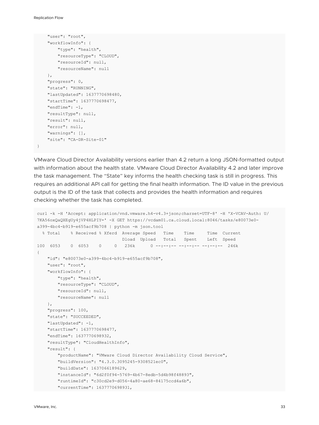Replication Flow

}

```
 "user": "root",
 "workflowInfo": {
    "type": "health",
     "resourceType": "CLOUD",
     "resourceId": null,
     "resourceName": null
 },
 "progress": 0,
 "state": "RUNNING",
 "lastUpdated": 1637770698480,
 "startTime": 1637770698477,
 "endTime": -1,
 "resultType": null,
 "result": null,
 "error": null,
 "warnings": [],
 "site": "CA-DR-Site-01"
```
VMware Cloud Director Availability versions earlier than 4.2 return a long JSON-formatted output with information about the health state. VMware Cloud Director Availability 4.2 and later improve the task management. The "State" key informs the health checking task is still in progress. This requires an additional API call for getting the final health information. The ID value in the previous output is the ID of the task that collects and provides the health information and requires checking whether the task has completed.

```
curl -k -H 'Accept: application/vnd.vmware.h4-v4.3+json;charset=UTF-8' -H 'X-VCAV-Auth: U/
7KA56oxQaQXEgUy4jVP4HLPIY=' -X GET https://vcdam01.ca.cloud.local:8046/tasks/e80073e0-
a399-4bc4-b919-e655acf9b708 | python -m json.tool
  % Total % Received % Xferd Average Speed Time Time Time Current
                               Dload Upload Total Spent Left Speed
100 6053 0 6053 0 0 236k 0 --:--:-- --:--:-- --:--:-- 246k
{
    "id": "e80073e0-a399-4bc4-b919-e655acf9b708",
    "user": "root",
     "workflowInfo": {
        "type": "health",
        "resourceType": "CLOUD",
         "resourceId": null,
         "resourceName": null
     },
     "progress": 100,
     "state": "SUCCEEDED",
     "lastUpdated": -1,
     "startTime": 1637770698477,
     "endTime": 1637770698932,
     "resultType": "CloudHealthInfo",
     "result": {
         "productName": "VMware Cloud Director Availability Cloud Service",
         "buildVersion": "4.3.0.3095245-9308521ec0",
         "buildDate": 1637066189629,
         "instanceId": "6d2f0f94-5769-4b67-8edb-5d4b98f48893",
         "runtimeId": "c30cd2e9-d056-4a80-ae68-84175ccd4a6b",
         "currentTime": 1637770698931,
```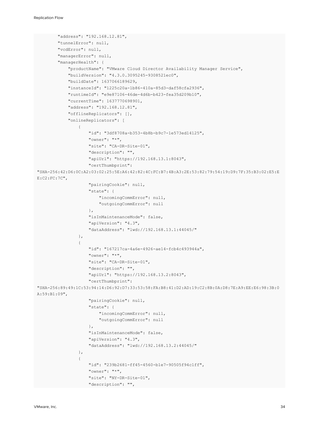```
 "address": "192.168.12.81",
         "tunnelError": null,
         "vcdError": null,
         "managerError": null,
         "managerHealth": {
              "productName": "VMware Cloud Director Availability Manager Service",
              "buildVersion": "4.3.0.3095245-9308521ec0",
              "buildDate": 1637066189629,
              "instanceId": "1225c20a-1b86-410a-85d3-daf58cfa2936",
              "runtimeId": "e9e87106-46de-4d6b-b423-fea35d209b10",
              "currentTime": 1637770698901,
              "address": "192.168.12.81",
              "offlineReplicators": [],
              "onlineReplicators": [
{
                       "id": "3df8708a-b353-4b8b-b9c7-1e573ed14125",
                       "owner": "*",
                       "site": "CA-DR-Site-01",
                       "description": "",
                       "apiUrl": "https://192.168.13.1:8043",
                       "certThumbprint": 
"SHA-256:42:D6:0C:A2:03:02:25:5E:A6:42:82:4C:FC:B7:4B:A3:2E:53:82:79:54:19:D9:7F:35:B3:02:E5:E
E:C2:FC:7C",
                       "pairingCookie": null,
                       "state": {
                           "incomingCommError": null,
                           "outgoingCommError": null
                       },
                       "isInMaintenanceMode": false,
                       "apiVersion": "4.3",
                       "dataAddress": "lwd://192.168.13.1:44045/"
                  },
{
                       "id": "167217ca-4a6e-4926-ae14-fcb4c493944a",
                       "owner": "*",
                       "site": "CA-DR-Site-01",
                       "description": "",
                       "apiUrl": "https://192.168.13.2:8043",
                       "certThumbprint": 
"SHA-256:89:49:1C:53:94:14:D6:92:D7:33:53:58:FA:B8:41:D2:AD:19:C2:8B:0A:D8:7E:A9:EE:E6:98:3B:0
A:59:B1:09",
                       "pairingCookie": null,
                       "state": {
                           "incomingCommError": null,
                           "outgoingCommError": null
\}, \}, \}, \}, \}, \}, \}, \}, \}, \}, \}, \}, \}, \}, \}, \}, \}, \}, \}, \}, \}, \}, \}, \}, \}, \}, \}, \}, \}, \}, \}, \}, \}, \}, \}, \}, \},
                       "isInMaintenanceMode": false,
                       "apiVersion": "4.3",
                       "dataAddress": "lwd://192.168.13.2:44045/"
                  },
{
                       "id": "239b2681-ff45-4560-b1e7-90505f94c1ff",
                       "owner": "*",
                       "site": "NY-DR-Site-01",
                       "description": "",
```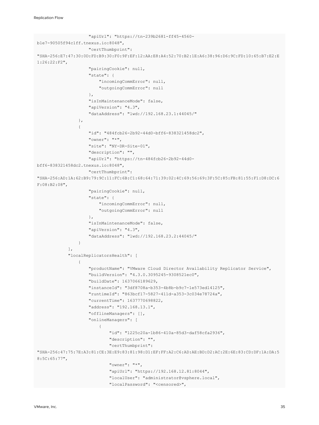```
 "apiUrl": "https://tn-239b2681-ff45-4560-
b1e7-90505f94c1ff.tnexus.io:8048",
                      "certThumbprint": 
"SHA-256:E7:47:30:0D:FD:B9:30:F0:9F:EF:12:AA:E8:A4:52:70:B2:1E:A6:38:96:D6:9C:FD:10:65:B7:E2:E
1:26:22:F2",
                      "pairingCookie": null,
                      "state": {
                           "incomingCommError": null,
                           "outgoingCommError": null
                      },
                      "isInMaintenanceMode": false,
                      "apiVersion": "4.3",
                      "dataAddress": "lwd://192.168.23.1:44045/"
                  },
{
                      "id": "484fcb26-2b92-44d0-bff6-838321458dc2",
                      "owner": "*",
                      "site": "NY-DR-Site-01",
                      "description": "",
                      "apiUrl": "https://tn-484fcb26-2b92-44d0-
bff6-838321458dc2.tnexus.io:8048",
                      "certThumbprint": 
"SHA-256:AD:1A:62:B9:79:9C:11:FC:6B:C1:68:64:71:39:02:4C:69:56:69:3F:5C:85:FB:81:55:F1:D8:DC:6
F:08:B2:08",
                      "pairingCookie": null,
                      "state": {
                           "incomingCommError": null,
                           "outgoingCommError": null
\}, \}, \}, \}, \}, \}, \}, \}, \}, \}, \}, \}, \}, \}, \}, \}, \}, \}, \}, \}, \}, \}, \}, \}, \}, \}, \}, \}, \}, \}, \}, \}, \}, \}, \}, \}, \},
                      "isInMaintenanceMode": false,
                       "apiVersion": "4.3",
                      "dataAddress": "lwd://192.168.23.2:44045/"
 }
              ],
              "localReplicatorsHealth": [
{
                      "productName": "VMware Cloud Director Availability Replicator Service",
                      "buildVersion": "4.3.0.3095245-9308521ec0",
                      "buildDate": 1637066189629,
                      "instanceId": "3df8708a-b353-4b8b-b9c7-1e573ed14125",
                      "runtimeId": "863bcf17-5827-411d-a353-3c034e78724a",
                      "currentTime": 1637770698822,
                      "address": "192.168.13.1",
                      "offlineManagers": [],
                      "onlineManagers": [
\{ "id": "1225c20a-1b86-410a-85d3-daf58cfa2936",
                               "description": "",
                               "certThumbprint": 
"SHA-256:47:75:7E:A3:81:CE:3E:E9:83:81:98:D1:EF:FF:A2:C6:AD:AE:BD:D2:AC:2E:6E:83:CD:DF:1A:DA:5
8:5C:65:77",
                               "owner": "*",
                               "apiUrl": "https://192.168.12.81:8044",
                               "localUser": "administrator@vsphere.local",
                               "localPassword": "<censored>",
```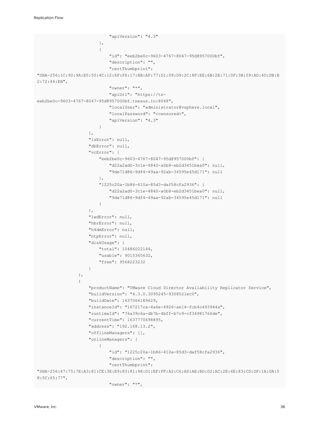```
 "apiVersion": "4.3"
 },
\{ "id": "eeb2be0c-9603-4767-8047-95d8957000bf",
                          "description": "",
                          "certThumbprint": 
"SHA-256:1C:90:9A:E5:50:4C:12:6F:F6:17:BB:AF:77:D1:09:D9:2C:8F:EE:6B:2E:71:0F:3B:09:AD:4D:DB:B
2:72:44:EB",
                           "owner": "*",
                          "apiUrl": "https://tn-
eeb2be0c-9603-4767-8047-95d8957000bf.tnexus.io:8048",
                          "localUser": "administrator@vsphere.local",
                          "localPassword": "<censored>",
                          "apiVersion": "4.3"
 }
\sim 1.
                   "lsError": null,
                   "dbError": null,
                   "vcError": {
                       "eeb2be0c-9603-4767-8047-95d8957000bf": {
                          "d22a2ad0-3c1e-4840-a0b8-eb2d3451bea0": null,
                          "9de71d86-9df4-49aa-92ab-34595e45d171": null
 },
                       "1225c20a-1b86-410a-85d3-daf58cfa2936": {
                          "d22a2ad0-3c1e-4840-a0b8-eb2d3451bea0": null,
                          "9de71d86-9df4-49aa-92ab-34595e45d171": null
 }
                   },
                   "lwdError": null,
                   "hbrError": null,
                   "h4dmError": null,
                   "ntpError": null,
                   "diskUsage": {
                       "total": 10486022144,
                       "usable": 9015365632,
                       "free": 9568223232
 }
               },
{
                   "productName": "VMware Cloud Director Availability Replicator Service",
                   "buildVersion": "4.3.0.3095245-9308521ec0",
                   "buildDate": 1637066189629,
                   "instanceId": "167217ca-4a6e-4926-ae14-fcb4c493944a",
                   "runtimeId": "76a39c6a-db7b-4bff-b7c9-cf34981766de",
                   "currentTime": 1637770698895,
                   "address": "192.168.13.2",
                   "offlineManagers": [],
                   "onlineManagers": [
\{ "id": "1225c20a-1b86-410a-85d3-daf58cfa2936",
                          "description": "",
                           "certThumbprint": 
"SHA-256:47:75:7E:A3:81:CE:3E:E9:83:81:98:D1:EF:FF:A2:C6:AD:AE:BD:D2:AC:2E:6E:83:CD:DF:1A:DA:5
8:5C:65:77",
                          "owner": "*",
```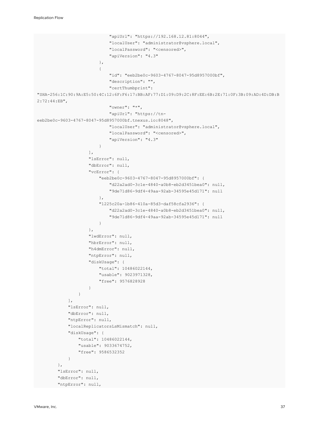```
 "apiUrl": "https://192.168.12.81:8044",
                             "localUser": "administrator@vsphere.local",
                             "localPassword": "<censored>",
                             "apiVersion": "4.3"
 },
\{ "id": "eeb2be0c-9603-4767-8047-95d8957000bf",
                             "description": "",
                              "certThumbprint": 
"SHA-256:1C:90:9A:E5:50:4C:12:6F:F6:17:BB:AF:77:D1:09:D9:2C:8F:EE:6B:2E:71:0F:3B:09:AD:4D:DB:B
2:72:44:EB",
                             "owner": "*",
                             "apiUrl": "https://tn-
eeb2be0c-9603-4767-8047-95d8957000bf.tnexus.io:8048",
                             "localUser": "administrator@vsphere.local",
                             "localPassword": "<censored>",
                             "apiVersion": "4.3"
 }
                     ],
                     "lsError": null,
                     "dbError": null,
                     "vcError": {
                         "eeb2be0c-9603-4767-8047-95d8957000bf": {
                              "d22a2ad0-3c1e-4840-a0b8-eb2d3451bea0": null,
                             "9de71d86-9df4-49aa-92ab-34595e45d171": null
 },
                         "1225c20a-1b86-410a-85d3-daf58cfa2936": {
                             "d22a2ad0-3c1e-4840-a0b8-eb2d3451bea0": null,
                             "9de71d86-9df4-49aa-92ab-34595e45d171": null
 }
\}, \}, \}, \}, \}, \}, \}, \}, \}, \}, \}, \}, \}, \}, \}, \}, \}, \}, \}, \}, \}, \}, \}, \}, \}, \}, \}, \}, \}, \}, \}, \}, \}, \}, \}, \}, \},
                     "lwdError": null,
                     "hbrError": null,
                     "h4dmError": null,
                     "ntpError": null,
                     "diskUsage": {
                         "total": 10486022144,
                         "usable": 9023971328,
                         "free": 9576828928
 }
 }
            \frac{1}{2},
             "lsError": null,
             "dbError": null,
             "ntpError": null,
             "localReplicatorsLsMismatch": null,
             "diskUsage": {
                 "total": 10486022144,
                 "usable": 9033674752,
                 "free": 9586532352
 }
         },
         "lsError": null,
         "dbError": null,
         "ntpError": null,
```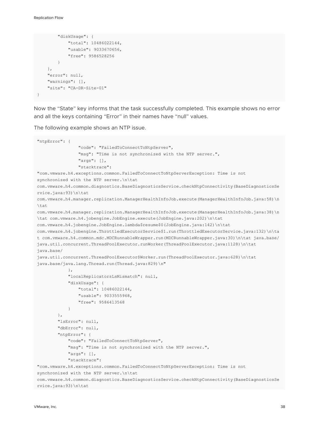```
 "diskUsage": {
             "total": 10486022144,
             "usable": 9033670656,
             "free": 9586528256
 }
    },
    "error": null,
    "warnings": [],
    "site": "CA-DR-Site-01"
}
```
Now the "State" key informs that the task successfully completed. This example shows no error and all the keys containing "Error" in their names have "null" values.

The following example shows an NTP issue.

```
"ntpError": {
                 "code": "FailedToConnectToNtpServer",
                 "msg": "Time is not synchronized with the NTP server.",
                 "args": [],
                 "stacktrace": 
"com.vmware.h4.exceptions.common.FailedToConnectToNtpServerException: Time is not 
synchronized with the NTP server.\n\tat 
com.vmware.h4.common.diagnostics.BaseDiagnosticsService.checkNtpConnectivity(BaseDiagnosticsSe
rvice.java:93)\n\tat 
com.vmware.h4.manager.replication.ManagerHealthInfoJob.execute(ManagerHealthInfoJob.java:58)\n
\tat 
com.vmware.h4.manager.replication.ManagerHealthInfoJob.execute(ManagerHealthInfoJob.java:38)\n
\tat com.vmware.h4.jobengine.JobEngine.execute(JobEngine.java:202)\n\tat 
com.vmware.h4.jobengine.JobEngine.lambda$resume$0(JobEngine.java:142)\n\tat 
com.vmware.h4.jobengine.ThrottledExecutorService$1.run(ThrottledExecutorService.java:132)\n\ta
t com.vmware.h4.common.mdc.MDCRunnableWrapper.run(MDCRunnableWrapper.java:30)\n\tat java.base/
java.util.concurrent.ThreadPoolExecutor.runWorker(ThreadPoolExecutor.java:1128)\n\tat 
java.base/
java.util.concurrent.ThreadPoolExecutor$Worker.run(ThreadPoolExecutor.java:628)\n\tat 
java.base/java.lang.Thread.run(Thread.java:829)\n"
             },
             "localReplicatorsLsMismatch": null,
             "diskUsage": {
                 "total": 10486022144,
                 "usable": 9033555968,
                 "free": 9586413568
 }
         },
         "lsError": null,
         "dbError": null,
         "ntpError": {
             "code": "FailedToConnectToNtpServer",
             "msg": "Time is not synchronized with the NTP server.",
             "args": [],
             "stacktrace": 
"com.vmware.h4.exceptions.common.FailedToConnectToNtpServerException: Time is not 
synchronized with the NTP server.\n\tat 
com.vmware.h4.common.diagnostics.BaseDiagnosticsService.checkNtpConnectivity(BaseDiagnosticsSe
rvice.java:93)\n\tat
```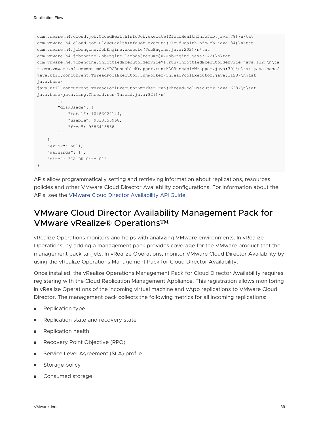```
com.vmware.h4.cloud.job.CloudHealthInfoJob.execute(CloudHealthInfoJob.java:78)\n\tat 
com.vmware.h4.cloud.job.CloudHealthInfoJob.execute(CloudHealthInfoJob.java:34)\n\tat 
com.vmware.h4.jobengine.JobEngine.execute(JobEngine.java:202)\n\tat
com.vmware.h4.jobengine.JobEngine.lambda$resume$0(JobEngine.java:142)\n\tat 
com.vmware.h4.jobengine.ThrottledExecutorService$1.run(ThrottledExecutorService.java:132)\n\ta
t com.vmware.h4.common.mdc.MDCRunnableWrapper.run(MDCRunnableWrapper.java:30)\n\tat java.base/
java.util.concurrent.ThreadPoolExecutor.runWorker(ThreadPoolExecutor.java:1128)\n\tat 
java.base/
java.util.concurrent.ThreadPoolExecutor$Worker.run(ThreadPoolExecutor.java:628)\n\tat 
java.base/java.lang.Thread.run(Thread.java:829)\n"
         },
         "diskUsage": {
             "total": 10486022144,
             "usable": 9033555968,
             "free": 9586413568
 }
     },
     "error": null,
     "warnings": [],
     "site": "CA-DR-Site-01"
}
```
APIs allow programmatically setting and retrieving information about replications, resources, policies and other VMware Cloud Director Availability configurations. For information about the APIs, see the [VMware Cloud Director Availability API Guide](https://developer.vmware.com/apis/1204/vmware-cloud-director-availability).

### VMware Cloud Director Availability Management Pack for VMware vRealize® Operations™

vRealize Operations monitors and helps with analyzing VMware environments. In vRealize Operations, by adding a management pack provides coverage for the VMware product that the management pack targets. In vRealize Operations, monitor VMware Cloud Director Availability by using the vRealize Operations Management Pack for Cloud Director Availability.

Once installed, the vRealize Operations Management Pack for Cloud Director Availability requires registering with the Cloud Replication Management Appliance. This registration allows monitoring in vRealize Operations of the incoming virtual machine and vApp replications to VMware Cloud Director. The management pack collects the following metrics for all incoming replications:

- **Replication type**
- **n** Replication state and recovery state
- **n** Replication health
- **Recovery Point Objective (RPO)**
- Service Level Agreement (SLA) profile
- **n** Storage policy
- Consumed storage